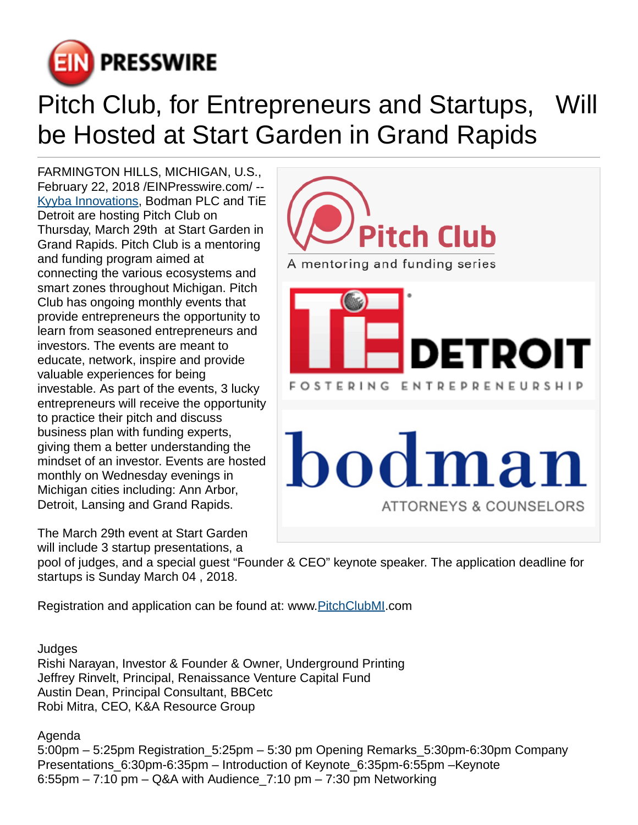

## Pitch Club, for Entrepreneurs and Startups, Will be Hosted at Start Garden in Grand Rapids

FARMINGTON HILLS, MICHIGAN, U.S., February 22, 2018 /[EINPresswire.com](http://www.einpresswire.com)/ -- [Kyyba Innovations,](http://kyybaxcelerator.com/calendar-registration.php) Bodman PLC and TiE Detroit are hosting Pitch Club on Thursday, March 29th at Start Garden in Grand Rapids. Pitch Club is a mentoring and funding program aimed at connecting the various ecosystems and smart zones throughout Michigan. Pitch Club has ongoing monthly events that provide entrepreneurs the opportunity to learn from seasoned entrepreneurs and investors. The events are meant to educate, network, inspire and provide valuable experiences for being investable. As part of the events, 3 lucky entrepreneurs will receive the opportunity to practice their pitch and discuss business plan with funding experts, giving them a better understanding the mindset of an investor. Events are hosted monthly on Wednesday evenings in Michigan cities including: Ann Arbor, Detroit, Lansing and Grand Rapids.

The March 29th event at Start Garden will include 3 startup presentations, a



pool of judges, and a special guest "Founder & CEO" keynote speaker. The application deadline for startups is Sunday March 04 , 2018.

Registration and application can be found at: www.[PitchClubMI.](http://www.PitchClubMI.com)com

Judges

Rishi Narayan, Investor & Founder & Owner, Underground Printing Jeffrey Rinvelt, Principal, Renaissance Venture Capital Fund Austin Dean, Principal Consultant, BBCetc Robi Mitra, CEO, K&A Resource Group

Agenda

5:00pm – 5:25pm Registration\_5:25pm – 5:30 pm Opening Remarks\_5:30pm-6:30pm Company Presentations\_6:30pm-6:35pm – Introduction of Keynote\_6:35pm-6:55pm –Keynote  $6:55$ pm  $-7:10$  pm  $-$  Q&A with Audience\_7:10 pm  $-7:30$  pm Networking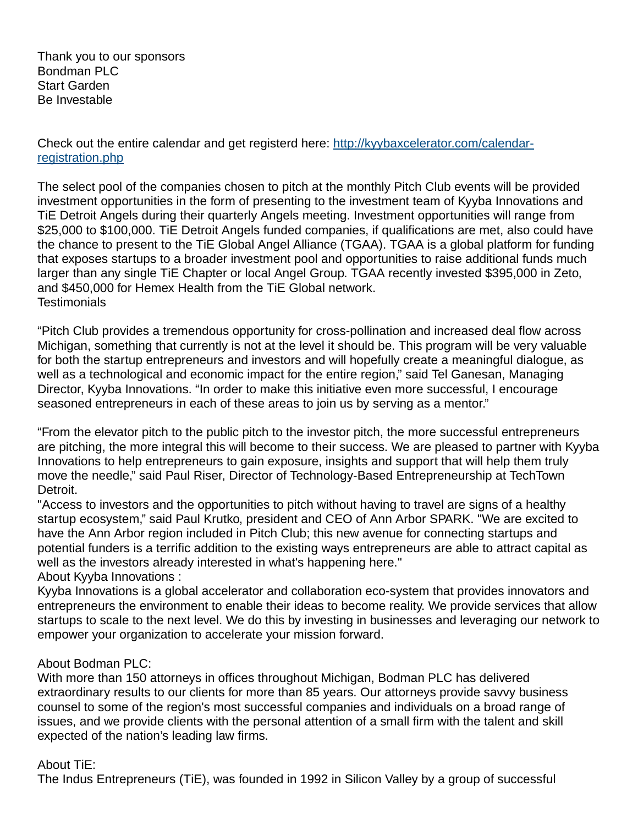Thank you to our sponsors Bondman PLC Start Garden Be Investable

Check out the entire calendar and get registerd here: [http://kyybaxcelerator.com/calendar](http://kyybaxcelerator.com/calendar-registration.php)[registration.php](http://kyybaxcelerator.com/calendar-registration.php) 

The select pool of the companies chosen to pitch at the monthly Pitch Club events will be provided investment opportunities in the form of presenting to the investment team of Kyyba Innovations and TiE Detroit Angels during their quarterly Angels meeting. Investment opportunities will range from \$25,000 to \$100,000. TiE Detroit Angels funded companies, if qualifications are met, also could have the chance to present to the TiE Global Angel Alliance (TGAA). TGAA is a global platform for funding that exposes startups to a broader investment pool and opportunities to raise additional funds much larger than any single TiE Chapter or local Angel Group. TGAA recently invested \$395,000 in Zeto, and \$450,000 for Hemex Health from the TiE Global network. **Testimonials** 

"Pitch Club provides a tremendous opportunity for cross-pollination and increased deal flow across Michigan, something that currently is not at the level it should be. This program will be very valuable for both the startup entrepreneurs and investors and will hopefully create a meaningful dialogue, as well as a technological and economic impact for the entire region," said Tel Ganesan, Managing Director, Kyyba Innovations. "In order to make this initiative even more successful, I encourage seasoned entrepreneurs in each of these areas to join us by serving as a mentor."

"From the elevator pitch to the public pitch to the investor pitch, the more successful entrepreneurs are pitching, the more integral this will become to their success. We are pleased to partner with Kyyba Innovations to help entrepreneurs to gain exposure, insights and support that will help them truly move the needle," said Paul Riser, Director of Technology-Based Entrepreneurship at TechTown Detroit.

"Access to investors and the opportunities to pitch without having to travel are signs of a healthy startup ecosystem," said Paul Krutko, president and CEO of Ann Arbor SPARK. "We are excited to have the Ann Arbor region included in Pitch Club; this new avenue for connecting startups and potential funders is a terrific addition to the existing ways entrepreneurs are able to attract capital as well as the investors already interested in what's happening here."

About Kyyba Innovations :

Kyyba Innovations is a global accelerator and collaboration eco-system that provides innovators and entrepreneurs the environment to enable their ideas to become reality. We provide services that allow startups to scale to the next level. We do this by investing in businesses and leveraging our network to empower your organization to accelerate your mission forward.

## About Bodman PLC:

With more than 150 attorneys in offices throughout Michigan, Bodman PLC has delivered extraordinary results to our clients for more than 85 years. Our attorneys provide savvy business counsel to some of the region's most successful companies and individuals on a broad range of issues, and we provide clients with the personal attention of a small firm with the talent and skill expected of the nation's leading law firms.

## About TiE:

The Indus Entrepreneurs (TiE), was founded in 1992 in Silicon Valley by a group of successful